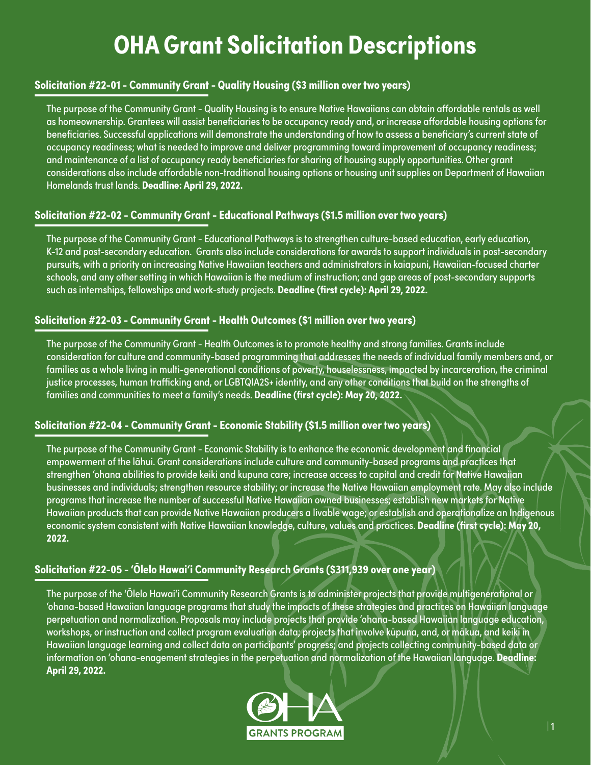# **OHA Grant Solicitation Descriptions**

# **Solicitation #22-01 - Community Grant - Quality Housing (\$3 million over two years)**

The purpose of the Community Grant - Quality Housing is to ensure Native Hawaiians can obtain affordable rentals as well as homeownership. Grantees will assist beneficiaries to be occupancy ready and, or increase affordable housing options for beneficiaries. Successful applications will demonstrate the understanding of how to assess a beneficiary's current state of occupancy readiness; what is needed to improve and deliver programming toward improvement of occupancy readiness; and maintenance of a list of occupancy ready beneficiaries for sharing of housing supply opportunities. Other grant considerations also include affordable non-traditional housing options or housing unit supplies on Department of Hawaiian Homelands trust lands. **Deadline: April 29, 2022.**

# **Solicitation #22-02 - Community Grant - Educational Pathways (\$1.5 million over two years)**

The purpose of the Community Grant - Educational Pathways is to strengthen culture-based education, early education, K-12 and post-secondary education. Grants also include considerations for awards to support individuals in post-secondary pursuits, with a priority on increasing Native Hawaiian teachers and administrators in kaiapuni, Hawaiian-focused charter schools, and any other setting in which Hawaiian is the medium of instruction; and gap areas of post-secondary supports such as internships, fellowships and work-study projects. **Deadline (first cycle): April 29, 2022.**

# **Solicitation #22-03 - Community Grant - Health Outcomes (\$1 million over two years)**

The purpose of the Community Grant - Health Outcomes is to promote healthy and strong families. Grants include consideration for culture and community-based programming that addresses the needs of individual family members and, or families as a whole living in multi-generational conditions of poverty, houselessness, impacted by incarceration, the criminal justice processes, human trafficking and, or LGBTQIA2S+ identity, and any other conditions that build on the strengths of families and communities to meet a family's needs. **Deadline (first cycle): May 20, 2022.**

# **Solicitation #22-04 - Community Grant - Economic Stability (\$1.5 million over two years)**

The purpose of the Community Grant - Economic Stability is to enhance the economic development and financial empowerment of the lāhui. Grant considerations include culture and community-based programs and practices that strengthen 'ohana abilities to provide keiki and kupuna care; increase access to capital and credit for Native Hawaiian businesses and individuals; strengthen resource stability; or increase the Native Hawaiian employment rate. May also include programs that increase the number of successful Native Hawaiian owned businesses; establish new markets for Native Hawaiian products that can provide Native Hawaiian producers a livable wage; or establish and operationalize an Indigenous economic system consistent with Native Hawaiian knowledge, culture, values and practices. **Deadline (first cycle): May 20, 2022.**

# **Solicitation #22-05 - 'Ōlelo Hawai'i Community Research Grants (\$311,939 over one year)**

The purpose of the 'Ōlelo Hawai'i Community Research Grants is to administer projects that provide multigenerational or 'ohana-based Hawaiian language programs that study the impacts of these strategies and practices on Hawaiian language perpetuation and normalization. Proposals may include projects that provide 'ohana-based Hawaiian language education, workshops, or instruction and collect program evaluation data; projects that involve kūpuna, and, or mākua, and keiki in Hawaiian language learning and collect data on participants' progress; and projects collecting community-based data or information on 'ohana-enagement strategies in the perpetuation and normalization of the Hawaiian language. **Deadline: April 29, 2022.**

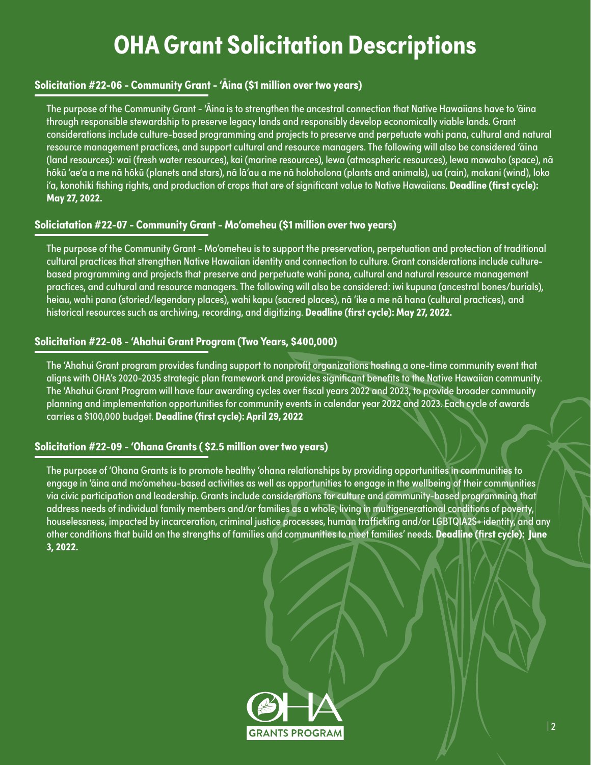# **OHA Grant Solicitation Descriptions**

# **Solicitation #22-06 - Community Grant - 'Āina (\$1 million over two years)**

The purpose of the Community Grant - 'Āina is to strengthen the ancestral connection that Native Hawaiians have to 'āina through responsible stewardship to preserve legacy lands and responsibly develop economically viable lands. Grant considerations include culture-based programming and projects to preserve and perpetuate wahi pana, cultural and natural resource management practices, and support cultural and resource managers. The following will also be considered 'āina (land resources): wai (fresh water resources), kai (marine resources), lewa (atmospheric resources), lewa mawaho (space), nā hōkū 'ae'a a me nā hōkū (planets and stars), nā lā'au a me nā holoholona (plants and animals), ua (rain), makani (wind), loko i'a, konohiki fishing rights, and production of crops that are of significant value to Native Hawaiians. **Deadline (first cycle): May 27, 2022.**

#### **Soliciatation #22-07 - Community Grant - Mo'omeheu (\$1 million over two years)**

The purpose of the Community Grant - Mo'omeheu is to support the preservation, perpetuation and protection of traditional cultural practices that strengthen Native Hawaiian identity and connection to culture. Grant considerations include culturebased programming and projects that preserve and perpetuate wahi pana, cultural and natural resource management practices, and cultural and resource managers. The following will also be considered: iwi kupuna (ancestral bones/burials), heiau, wahi pana (storied/legendary places), wahi kapu (sacred places), nā 'ike a me nā hana (cultural practices), and historical resources such as archiving, recording, and digitizing. **Deadline (first cycle): May 27, 2022.**

# **Solicitation #22-08 - 'Ahahui Grant Program (Two Years, \$400,000)**

The 'Ahahui Grant program provides funding support to nonprofit organizations hosting a one-time community event that aligns with OHA's 2020-2035 strategic plan framework and provides significant benefits to the Native Hawaiian community. The 'Ahahui Grant Program will have four awarding cycles over fiscal years 2022 and 2023, to provide broader community planning and implementation opportunities for community events in calendar year 2022 and 2023. Each cycle of awards carries a \$100,000 budget. **Deadline (first cycle): April 29, 2022**

# **Solicitation #22-09 - 'Ohana Grants ( \$2.5 million over two years)**

The purpose of 'Ohana Grants is to promote healthy 'ohana relationships by providing opportunities in communities to engage in 'āina and mo'omeheu-based activities as well as opportunities to engage in the wellbeing of their communities via civic participation and leadership. Grants include considerations for culture and community-based programming that address needs of individual family members and/or families as a whole, living in multigenerational conditions of poverty, houselessness, impacted by incarceration, criminal justice processes, human trafficking and/or LGBTQIA2S+ identity, and any other conditions that build on the strengths of families and communities to meet families' needs. **Deadline (first cycle): June 3, 2022.**